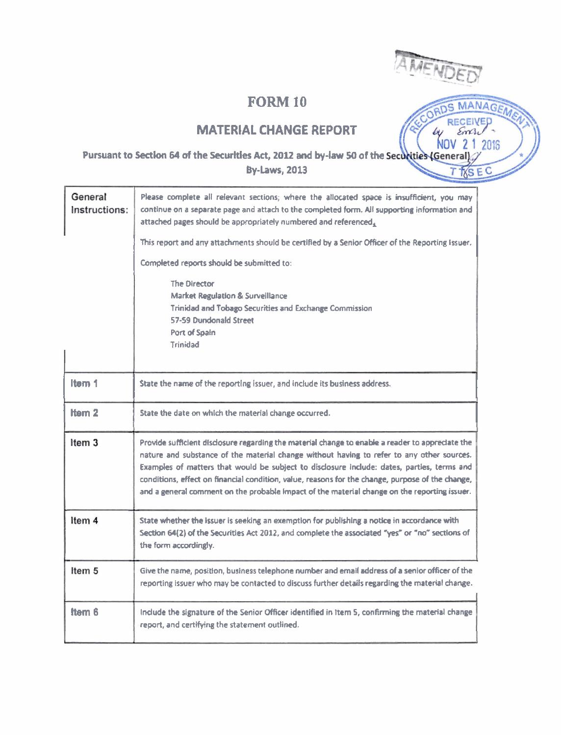## **FORM 10**



bи NOV

MANAGEME EWED

C

## **MATERIAL CHANGE REPORT**

#### 2 1 2016 Pursuant to Section 64 of the Securities Act, 2012 and by-law 50 of the Securities (General) **By-Laws, 2013 IXSE**

| General<br>Instructions: | Please complete all relevant sections; where the allocated space is insufficient, you may<br>continue on a separate page and attach to the completed form. All supporting information and<br>attached pages should be appropriately numbered and referenced,<br>This report and any attachments should be certified by a Senior Officer of the Reporting Issuer.<br>Completed reports should be submitted to:<br><b>The Director</b><br><b>Market Regulation &amp; Surveillance</b><br>Trinidad and Tobago Securities and Exchange Commission<br>57-59 Dundonald Street<br>Port of Spain<br><b>Trinidad</b> |
|--------------------------|-------------------------------------------------------------------------------------------------------------------------------------------------------------------------------------------------------------------------------------------------------------------------------------------------------------------------------------------------------------------------------------------------------------------------------------------------------------------------------------------------------------------------------------------------------------------------------------------------------------|
| Item 1                   | State the name of the reporting issuer, and include its business address.                                                                                                                                                                                                                                                                                                                                                                                                                                                                                                                                   |
| ltem 2                   | State the date on which the material change occurred.                                                                                                                                                                                                                                                                                                                                                                                                                                                                                                                                                       |
| Item <sub>3</sub>        | Provide sufficient disclosure regarding the material change to enable a reader to appreciate the<br>nature and substance of the material change without having to refer to any other sources.<br>Examples of matters that would be subject to disclosure include: dates, parties, terms and<br>conditions, effect on financial condition, value, reasons for the change, purpose of the change,<br>and a general comment on the probable impact of the material change on the reporting issuer.                                                                                                             |
| Item 4                   | State whether the issuer is seeking an exemption for publishing a notice in accordance with<br>Section 64(2) of the Securities Act 2012, and complete the associated "yes" or "no" sections of<br>the form accordingly.                                                                                                                                                                                                                                                                                                                                                                                     |
| Item 5                   | Give the name, position, business telephone number and email address of a senior officer of the<br>reporting issuer who may be contacted to discuss further details regarding the material change.                                                                                                                                                                                                                                                                                                                                                                                                          |
| Item 6                   | Include the signature of the Senior Officer identified in Item S, confirming the material change<br>report, and certifying the statement outlined.                                                                                                                                                                                                                                                                                                                                                                                                                                                          |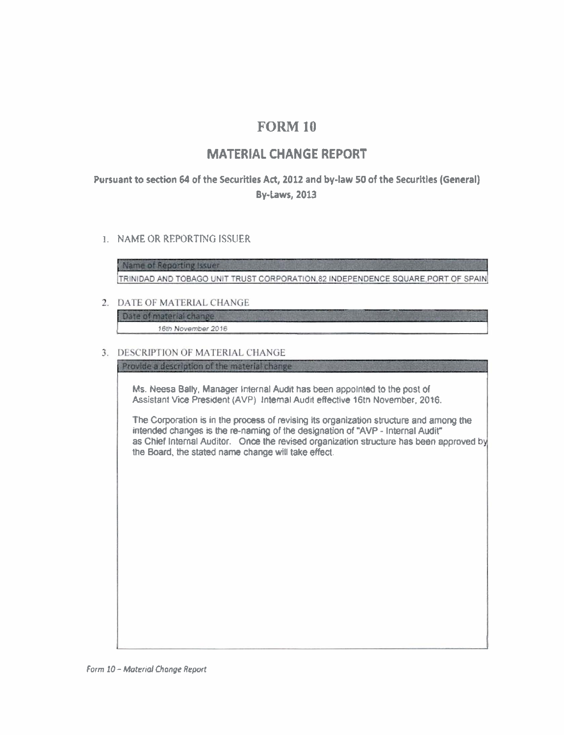# **FORM 10**

## **MATERIAL CHANGE REPORT**

## Pursuant to section 64 of the Securities Act, 2012 and by-law 50 of the Securities (General) By-Laws, 2013

#### **1. NAME OR REPORTING ISSUER**

Name of Reporting Issuer TRINIDAD AND TOBAGO UNIT TRUST CORPORATION.82 INDEPENDENCE SQUARE PORT OF SPAIN

#### 2. DATE OF MATERIAL CHANGE

Date of material change 16th November 2016

#### 3. DESCRIPTION OF MATERIAL CHANGE

Provide a description of the material change

**Ms.** Neesa Bally. Manager Internal Audit has been appolnted to the post of Assistant **Vice** President (AVP) Internal **Audlt** effective 16tn November. 2016.

The Corporation is in the process of revising its organization structure and among the intended changes is the re-naming of the designation of "AVP - Internal Audit" as Chief Internal Auditor. Once the revised organization structure has been approved by the Board, the stated name change will take effect.

**Form 10 - Material Change Report**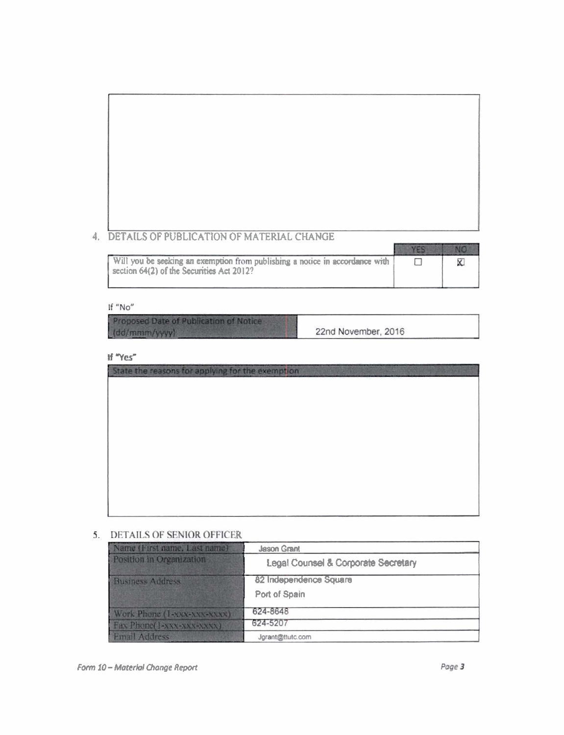# 4. DETAILS OF PUBLICATION OF MATERIAL CHANGE

| Will you be seeking an exemption from publishing a notice in accordance with<br>section 64(2) of the Securities Act 2012? |  |
|---------------------------------------------------------------------------------------------------------------------------|--|

#### If "No"

Proposed Date of Publication of Notice (dd/mmm/yyyy)

22nd November, 2016

If "Yes"

| State the reasons for applying for the exemption |  |
|--------------------------------------------------|--|
|                                                  |  |
|                                                  |  |
|                                                  |  |
|                                                  |  |
|                                                  |  |
|                                                  |  |
|                                                  |  |
|                                                  |  |
|                                                  |  |
|                                                  |  |
|                                                  |  |

#### 5. DETAILS OF SENIOR OFFICER

| Name (First name, Last name) | <b>Jason Grant</b>                  |
|------------------------------|-------------------------------------|
| Position in Organization     | Legal Counsel & Corporate Secretary |
| <b>Business Address</b>      | 82 Independence Square              |
|                              | Port of Spain                       |
| Work Phone (1-XXX-XXX-XXXX)  | 624-8648                            |
| Fax Phone(1-xxx-xxx-xxxx)    | 624-5207                            |
| <b>Email Address</b>         | Jgrant@ttutc.com                    |